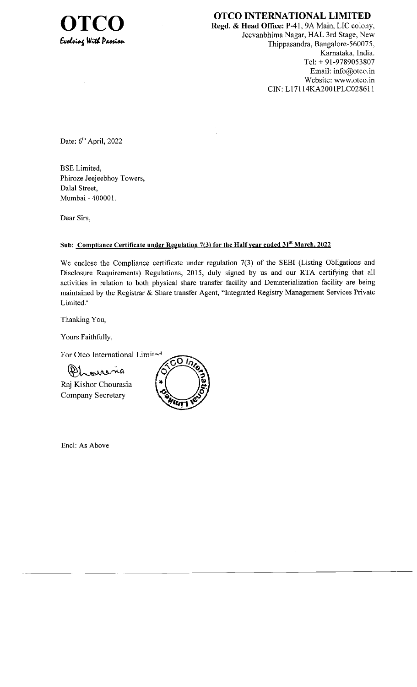

**OTCO INTERNATIONAL LIMITED**<br>Regd. & Head Office: P-41, 9A Main, LIC colony, Jeevanbhima Nagar, HAL 3rd Stage, New Thippasandra, Bangalore-560075, Kamataka, lndia. Tet: + 91-9789053807 Email: info@otco.in Website: www.otco.in CIN: L17114KA2001PLC028611

Date: 6<sup>th</sup> April, 2022

BSE Limited, Phiroze Jeejeebhoy Towers, Dalal Street, Mumbai - 400001.

Dear Sirs,

## Sub: Compliance Certificate under Regulation 7(3) for the Half year ended 31<sup>st</sup> March, 2022

We enclose the Compliance certificate under regulation 7(3) of the SEBI (Listing Obligations and Disclosure Requirements) Regulations, 2015, duly signed by us and our RTA certifying that all activities in relation to both physical share transfer facility and Dematerialization facility are being maintained by the Registrar & Share transfer Agent, "Integrated Registry Management Services Private Limited."

Thanking You,

Yours Faithfully,

For Otco International Limited

ourens

Raj Kishor Chourasia Company Secretary



Encl: As Above